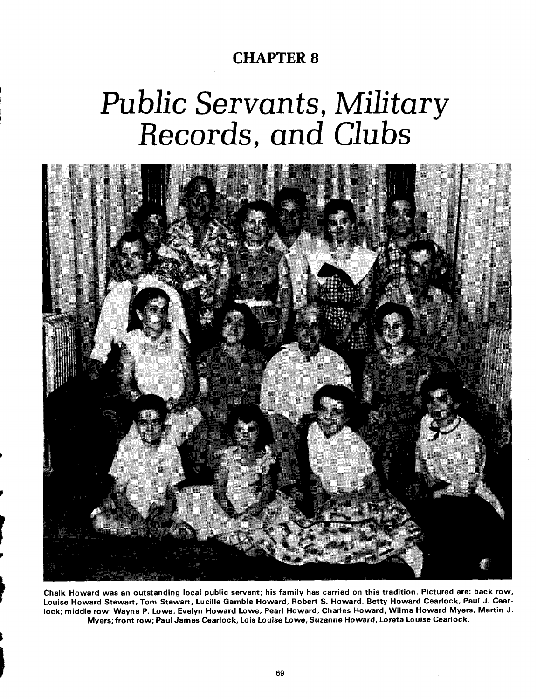## **CHAPTER 8**

# Public Servants, Military Records, and Clubs



Chalk Howard was an outstanding local public servant; his family has carried on this tradition. Pictured are: back row, Louise Howard Stewart, Tom Stewart, Lucille Gamble Howard, Robert S. Howard, Betty Howard Cearlock, Paul J. Cearlock; middle row: Wayne P. Lowe, Evelyn Howard Lowe, Pearl Howard, Charles Howard, Wilma Howard Myers, Martin J. Myers; front row; Paul James Cearlock, Lois Louise Lowe, Suzanne Howard, Loreta Louise Cearlock.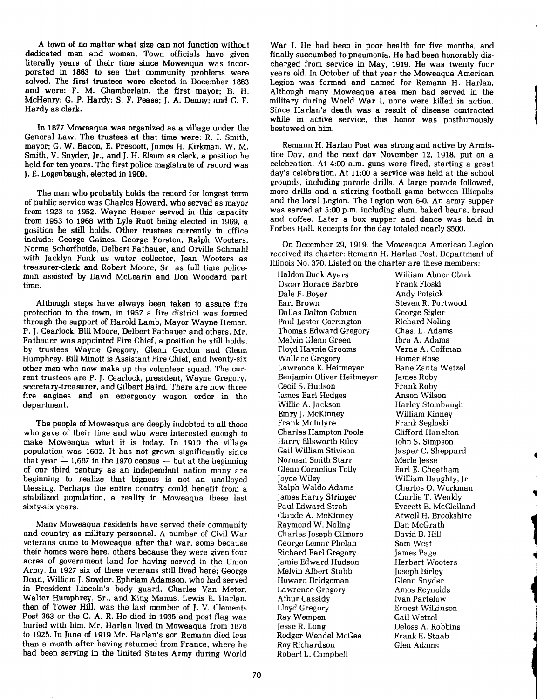A town of no matter what size can not function without dedicated men and women. Town officials have given literally years of their time since Moweaqua was incorporated in **1863** to see that community problems were solved. The first trustees were elected in December **1863**  and were: F. M. Chamberlain, the first mayor; B. H. McHenry; G. P. Hardy; S. F. Pease; J. A. Denny; and C. F. Hardy as clerk.

In **1677** Moweaqua was organized as a village under the General Law. The trustees at that time were: R. I. Smith, mayor; G. W. Bacon, E. Prescott, James H. Kirkman, W. M. Smith, V. Snyder, Jr., and J. H. Elsum as clerk, a position he held for ten years. The first police magistrate of record was J. E. Logenbaugh, elected in **1909.** 

The man who probably holds the record for longest term of public service was Charles Howard, who served as mayor from **1923** to **1952.** Wayne Hemer served in this capacity from **1953** to **1968** with Lyle Ruot being elected in **1969,** a position he still holds. Other trustees currently in office include: George Gaines, George Forston, Ralph Wooters, Norma Schorfheide, Delbert Fathauer, and Orville Schmahl with Jacklyn Funk as water collector, Jean Wooters as treasurer-clerk and Robert Moore, Sr. as full time policeman assisted by David McLearin and Don Woodard part time.

Although steps have always been taken to assure fire protection to the town, in **1957** a fire district was formed through the support of Harold Lamb, Mayor Wayne Hemer, P. J. Cearlock, Bill Moore, Delbert Fathauer and others. Mr. Fathauer was appointed Fire Chief, a position he still holds, by trustees Wayne Gregory, Glenn Gordon and Glenn Humphrey. Bill Minott is Assistant Fire Chief, and twenty-six other men who now make up the volunteer squad. The current trustees are P. J. Cearlock, president, Wayne Gregory, secretary-treasurer, and Gilbert Baird. There are now three fire engines and an emergency wagon order in the department.

The people of Moweaqua are deeply indebted to all those who gave of their time and who were interested enough to make Moweaqua what it is today. In **1910** the village population was **1602.** It has not grown significantly since that year  $- 1,687$  in the 1970 census  $-$  but at the beginning of our third century as an independent nation many are beginning to realize that bigness is not an unalloyed blessing. Perhaps the entire country could benefit from a stabilized population, a reality in Moweaqua these last sixty-six years.

Many Moweaqua residents have served their community and country as military personnel. A number of Civil War veterans came to Moweaqua after that war, some because their homes were here, others because they were given four acres of government land for having served in the Union Army. In **1927** six of these veterans still lived here; George Dean, William J. Snyder, Ephriam Adamson, who had served in President Lincoln's body guard, Charles Van Meter, Walter Humphrey, Sr., and King Manus. Lewis E. Harlan, then of Tower Hill, was the last member of J. V. Clements Post **363** or the G. A. R. He died in **1935** and post flag was buried with him. Mr. Harlan lived in Moweaqua from 1878 to **1925.** In June **of 1919** Mr. Harlan's son Remann died less than a month after having returned from France, where he had been serving in the United States Army during World

War I. He had been in poor health for five months, and finally succumbed to pneumonia. He had been honorably discharged from service in May, **1919.** He was twenty four years old. In October of that year the Moweaqua American Legion was formed and named for Remann H. Harlan. Although many Moweaqua area men had served in the military during World War I, none were killed in action. Since Harlan's death was a result of disease contracted while in active service, this honor was posthumously bestowed on him.

Remann H. Harlan Post was strong and active by Armistice Day, and the next day November **12, 1918,** put on a celebration. At 4:00 a.m. guns were fired, starting a great day's celebration. At 11:00 a service was held at the school groupds, including parade drills. A large parade followed, more drills and a stirring football game between Illiopolis and the local Legion. The Legion won 6-0. An army supper was served at 5:00 p.m. including slum, baked beans, bread and coffee. Later a box supper and dance was held in Forbes Hall. Receipts for the day totaled nearly \$500.

On December **29, 1919,** the Moweaqua American Legion received its charter: Remann H. Harlan Post, Department of Illinois No. **370.** Listed on the charter are these members:

Haldon Buck Ayars William Abner Clark Oscar Horace Barbre<br>Dale F. Bover Dale F. Boyer Andy Potsick Dallas Dalton Coburn George Sigler<br>Paul Lester Corrington Richard Noling Paul Lester Corrington Richard Noling<br>Thomas Edward Gregory Chas. L. Adams Thomas Edward Gregory Chas. L. Adams Melvin Glenn Green Ibra A. Adams<br>Floyd Haynie Grooms Verne A. Coffman Floyd Haynie Grooms Verne A. Coffman Wallace Gregory Homer Rose Lawrence E. Heitmeyer Bane Zanta<br>Benjamin Oliver Heitmeyer James Roby Benjamin Oliver Heitmeyer Cecil S. Hudson Frank Roby James Earl Hedges Anson Wilson Emry J. McKinney William Kinney Frank McIntyre Charles Hampton Poole Clifford Hanelton Harry Ellsworth Riley John S. Simpson Norman Smith Starr Glenn Cornelius Tolly Earl E. Cheatham Joyce Wiley William Daughty, Jr. James Harry Stringer<br>Paul Edward Stroh Paul Edward Stroh Everett B. McClelland Raymond W. Noling Charles Joseph Gilmore David B. Hill George Lemar Phelan Sam West Richard Earl Gregory James Page Jamie Edward Hudson Herbert Wooters Melvin Albert Stabb Joseph Birley Howard Bridgeman Glenn Snyder Lawrence Gregory Amos Reynolds Athur Cassidy Ivan Partelow Ray Wempen Gail Wetzel<br>Jesse R. Long Deloss A. Ro Rodger Wendel McGee Frank E. Sta<br>Roy Richardson Glen Adams Roy Richardson Robert L. Campbell

Steven R. Portwood<br>George Sigler Harley Stombaugh<br>William Kinney Jasper C. Sheppard<br>Merle Jesse Charles O. Workman<br>Charlie T. Weakly Atwell H. Brookshire<br>Dan McGrath Ernest Wilkinson Deloss A. Robbins<br>Frank E. Staab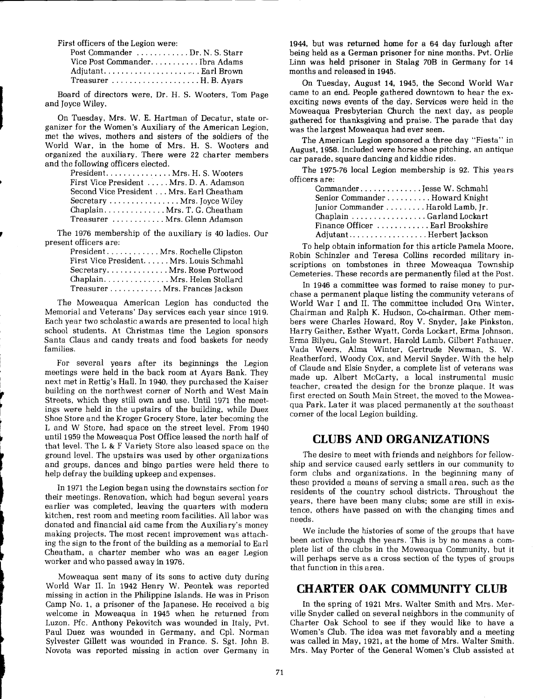First officers of the Legion were:

| Post Commander Dr. N. S. Starr                                |  |
|---------------------------------------------------------------|--|
| Vice Post CommanderIbra Adams                                 |  |
| Adjutant Earl Brown                                           |  |
| Treasurer $\dots\dots\dots\dots\dots\dots\dots$ . H. B. Ayars |  |

Board of directors were, Dr. H. S. Wooters, Tom Page and Joyce Wiley.

On Tuesday, Mrs. W. E. Hartman of Decatur, state organizer for the Women's Auxiliary of the American Legion, met the wives, mothers and sisters of the soldiers of the World War, in the home of Mrs. H. S. Wooters and organized the auxiliary. There were 22 charter members and the following officers elected.

| PresidentMrs.H.S. Wooters                |
|------------------------------------------|
| First Vice President  Mrs. D. A. Adamson |
| Second Vice President Mrs. Earl Cheatham |
| Secretary  Mrs. Joyce Wiley              |
| $Chaplain$ Mrs.T.G.Cheatham              |
| Treasurer Mrs. Glenn Adamson             |
|                                          |

The 1976 membership of the auxiliary is 40 ladies. Our present officers are:

| President Mrs. Rochelle Clipston        |
|-----------------------------------------|
| First Vice President Mrs. Louis Schmahl |
| SecretaryMrs.Rose Portwood              |
| Chaplain Mrs. Helen Stollard            |
| TreasurerMrs. Frances Jackson           |

The Moweaqua American Legion has conducted the Memorial and Veterans' Day services each year since 1919. Each year two scholastic awards are presented to local high school students. At Christmas time the Legion sponsors Santa Claus and candy treats and food baskets for needy families.

For several years after its beginnings the Legion meetings were held in the back room at Ayars Bank. They next met in Rettig's Hall. In 1940, they purchased the Kaiser building on the northwest corner of North and West Main Streets, which they still own and use. Until 1971 the meetings were held in the upstairs of the building, while Duez Shoe Store and the Kroger Grocery Store, later becoming the L and W Store, had space on the street level. From 1940 until 1959 the Moweaqua Post Office leased the north half of that level. The L & F Variety Store also leased space on the ground level. The upstairs was used by other organizations and groups, dances and bingo parties were held there to help defray the building upkeep and expenses.

In 1971 the Legion began using the downstairs section for their meetings. Renovation, which had begun several years earlier was completed, leaving the quarters with modern kitchen, rest room and meeting room facilities. All labor was donated and financial aid came from the Auxiliary's money making projects. The most recent improvement was attaching the sign to the front of the building as a memorial to Earl Cheatham, a charter member who was an eager Legion worker and who passed away in 1976.

Moweaqua sent many of its sons to active duty during World War 11. In 1942 Henry W. Peontek was reported missing in action in the Philippine Islands. He was in Prison Camp No. 1, a prisoner of the Japanese. He received a big welcome in Moweaqua in 1945 when he returned from Luzon. Pfc. Anthony Pekovitch was wounded in Italy, Pvt. Paul Duez was wounded in Germany, and Cpl. Norman Sylvester Gillett was wounded in France. S. Sgt. John B. Novota was reported missing in action over Germany in

1944, but was returned home for a 64 day furlough after being held as a German prisoner for nine months. Pvt. Orlie Linn was held prisoner in Stalag 70B in Germany for 14 months and released in 1945.

On Tuesday, August 14, 1945, the Second World War came to an end. People gathered downtown to hear the exexciting news events of the day. Services were held in the Moweaqua Presbyterian Church the next day, as people gathered for thanksgiving and praise. The parade that day was the largest Moweaqua had ever seen.

The American Legion sponsored a three day "Fiesta" in August, 1958. Included were horse shoe pitching, an antique car parade, square dancing and kiddie rides.

The 1975-76 local Legion membership is 92. This years officers are:

| CommanderJesse W. Schmahl         |  |
|-----------------------------------|--|
| Senior Commander Howard Knight    |  |
| Junior Commander Barold Lamb, Jr. |  |
| Chaplain Garland Lockart          |  |
| Finance Officer  Earl Brookshire  |  |
| AdjutantHerbert Jackson           |  |

To help obtain information for this article Pamela Moore, Robin Schinzler and Teresa Collins recorded military inscriptions on tombstones in three Moweaqua Township Cemeteries. These records are permanently filed at the Post.

In 1946 a committee was formed to raise money to purchase a permanent plaque listing the community veterans of World War I and 11. The committee included Ora Winter, Chairman and Ralph K. Hudson, Co-chairman. Other members were Charles Howard, Roy V. Snyder, Jake Pinkston, Harry Gaither, Esther Wyatt, Corda Lockart, Erma Johnson, Erma Bilyeu, Gale Stewart, Harold Lamb, Gilbert Fathauer, Vada Weers, Alma Winter, Gertrude Newman, S. W. Reatherford, Woody Cox, and Mervil Snyder. With the help of Claude and Elsie Snyder, a complete list of veterans was made up. Albert McCarty, a local instrumental music teacher, created the design for the bronze plaque. It was first erected on South Main Street, the moved to the Moweaqua Park. Later it was placed permanently at the southeast corner of the local Legion building.

### **CLUBS AND ORGANIZATIONS**

The desire to meet with friends and neighbors for fellowship and service caused early settlers in our community to form clubs and organizations. In the beginning many of these provided a means of serving a small area, such as the residents of the country school districts. Throughout the years, there have been many clubs; some are still in existence, others have passed on with the changing times and needs.

We include the histories of some of the groups that have been active through the years. This is by no means a complete list of the clubs in the Moweaqua Community, but it will perhaps serve as a cross section of the types of groups that function in this area.

### **CHARTER OAK COMMUNITY CLUB**

In the spring of 1921 Mrs. Walter Smith and Mrs. Merville Snyder called on several neighbors in the community of Charter Oak School to see if they would like to have a Women's Club. The idea was met favorably and a meeting was called in May, 1921, at the home of Mrs. Walter Smith. Mrs. May Porter of the General Women's Club assisted at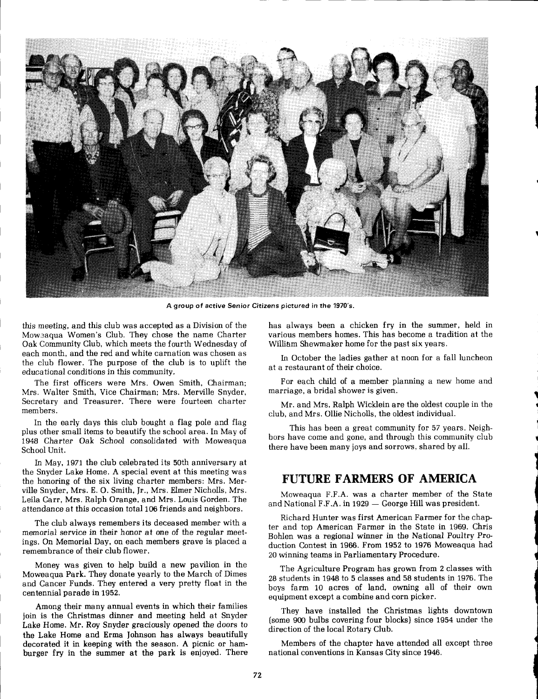

<sup>I</sup>**A group of active Senior Citizens pictured in the 1970's.** 

Oak Community Club, which meets the fourth Wednesday of each month, and the red and white carnation was chosen as each month, and the red and while carnation was chosen as<br>the club flower. The purpose of the club is to uplift the<br>educational conditions in this community.

Mrs. Walter Smith, Vice Chairman: Mrs. Merville Snyder, Secretary and Treasurer. There were fourteen charter Mr. and Mrs. Ralph Wicklein are the oldest couple in the members.

In the early days this club bought a flag pole and flag plus other small items to beautify the school area. In May of This has been a great community for 57 years. Neigh-<br>1948 Charter Oak School consolidated with Moweaqua has other small hells to beautify the school area. In May of bors have come and gone, and through this community club<br>1948 Charter Oak School consolidated with Moweaqua there have been many joys and sorrows, shared by all.

In Mav, 1971 the club celebrated its 50th anniversary at the snyder Lake Home. A special event at this meeting was the honoring of the six living charter members: Mrs. Mer-<br>ville Snyder, Mrs. E. O. Smith, Jr., Mrs. Elmer Nicholls, Mrs.

Money was given to help build a new pavilion in the The Agriculture Program has grown from 2 classes with Moweaqua Park. They donate yearly to the March of Dimes and the Latitude in 1976. The Moweaqua Park. They donate yearly to the March of Dimes<br>and Cancer Funds. They entered a very pretty float in the boys farm 10 acres of land, owning all of their own<br>centennial parade in 1952.

Among their many annual events in which their families They have installed the Christmas lights downtown<br>in is the Christmas dinner and meeting held at Snyder 1 join is the Christmas dinner and meeting held at Snyder (some 900 bulbs covering four blocks) since 1954 under the Lake Home. Mr. Roy Snyder graciously opened the doors to direction of the local Rotary Club. , the Lake Home and Erma Johnson has always beautifully 1 decorated it in keeping with the season. A picnic or ham-<br>
1 Members of the chapter have attended all except three<br>
1 burger fry in the summer at the park is enjoyed. There<br>
1 attional conventions in Kansas City since 19 burger fry in the summer at the park is enjoyed. There

this meeting, and this club was accepted as a Division of the has always been a chicken fry in the summer, held in<br>Mower a tradition at the haste the hame charter warious members homes. This has become a tradition at the various members homes. This has become a tradition at the William Shewmaker home for the past six years.

The first officers were Mrs. Owen Smith, Chairman; For each child of a member planning a new home and<br>s. Walter Smith, Vice Chairman: Mrs. Merville Snyder. marriage, a bridal shower is given.

club, and Mrs. Ollie Nicholls, the oldest individual.

there have been many joys and sorrows, shared by all.

ville Snyder, Mrs. E. O. Smith, Jr., Mrs. Elmer Nicholls, Mrs.<br>
Leila Carr, Mrs. Ralph Orange, and Mrs. Louis Gorden. The<br>
attendance at this occasion total 106 friends and neighbors.<br>
The club always remembers its decease the mass of Memorial Day, on each memoers grave is placed a duction Contest in 1966. From 1952 to 1976 Moweaqua had remembrance of their club flower.<br>20 winning teams in Parliamentary Procedure.

equipment except a combine and corn picker.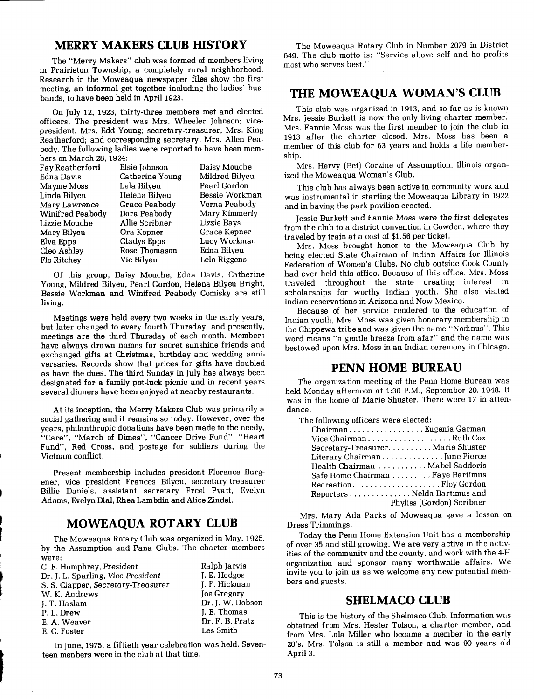### **MERRY MAKERS CLUB HISTORY**

The "Merry Makers" club was formed of members living in Prairieton Township, a completely rural neighborhood. Research in the Moweaqua newspaper files show the first meeting, an informal get together including the ladies' husbands, to have been held in April 1923.

On July 12, 1923, thirty-three members met and elected officers. The president was Mrs. Wheeler Johnson; vicepresident, Mrs. Edd Young; secretary-treasurer, Mrs. King Reatherford; and corresponding secretary, Mrs. Allen Peabody. The following ladies were reported to have been members on March 28,1924:

| Fay Reatherford  | Elsie Johnson          | Daisy Mouche       |
|------------------|------------------------|--------------------|
| Edna Davis       | <b>Catherine Young</b> | Mildred Bilyeu     |
| Mayme Moss       | Lela Bilyeu            | Pearl Gordon       |
| Linda Bilyeu     | Helena Bilyeu          | Bessie Workman     |
| Mary Lawrence    | Grace Peabody          | Verna Peabody      |
| Winifred Peabody | Dora Peabody           | Mary Kimmerly      |
| Lizzie Mouche    | Allie Scribner         | <b>Lizzie Bays</b> |
| Mary Bilyeu      | Ora Kepner             | Grace Kepner       |
| Elva Epps        | Gladys Epps            | Lucy Workman       |
| Cleo Ashley      | Rose Thomason          | Edna Bilyeu        |
| Flo Ritchev      | Vie Bilveu             | Lela Riggens       |

Of this group, Daisy Mouche, Edna Davis, Catherine Young, Mildred Bilyeu, Pearl Gordon, Helena Bilyeu Bright, Bessie Workman and Winifred Peabody Comisky are still living.

Meetings were held every two weeks in the early years, but later changed to every fourth Thursday, and presently, meetings are the third Thursday of each month. Members have always drawn names for secret sunshine friends and exchanged gifts at Christmas, birthday and wedding anniversaries. Records show that prices for gifts have doubled as have the dues. The third Sunday in July has always been designated for a family pot-luck picnic and in recent years several dinners have been enjoyed at nearby restaurants.

At its inception, the Merry Makers Club was primarily a social gathering and it remains so today. However, over the years, philanthropic donations have been made to the needy, "Care", "March of Dimes", "Cancer Drive Fund", "Heart Fund", Red Cross, and postage for soldiers during the Vietnam conflict.

Present membership includes president Florence Burgener, vice president Frances Bilyeu, secretary-treasurer Billie Daniels, assistant secretary Ercel Pyatt, Evelyn Adarns, Evelyn Dial, Rhea Lambdin and Alice Zindel.

### **MOWEAQUA ROTARY CLUB**

The Moweaqua Rotary Club was organized in May, 1925, by the Assumption and Pana Clubs. The charter members were:

| C. E. Humphrey, President          | Ralph Jarvis       |
|------------------------------------|--------------------|
| Dr. J. L. Sparling, Vice President | J. E. Hedges       |
| S. S. Clapper, Secretary-Treasurer | J. F. Hickman      |
| W. K. Andrews                      | <b>Joe Gregory</b> |
| J. T. Haslam                       | Dr. J. W. Dobson   |
| P.L.Drew                           | I. E. Thomas       |
| E. A. Weaver                       | Dr. F. B. Pratz    |
| E. C. Foster                       | Les Smith          |
|                                    |                    |

In June, 1975, a fiftieth year celebration was held. Seventeen menbers were in the club at that time.

The Moweaqua Rotary Club in Number 2079 in District 649. The club motto is: "Service above self and he profits most who serves best."

#### **THE MOWEAQUA WOMAN'S CLUB**

This club was organized in 1913, and so far as is known Mrs. Jessie Burkett is now the only living charter member. Mrs. Fannie Moss was the first member to join the club in 1913 after the charter closed. Mrs. Moss has been a member of this club for 63 years and holds a life membership.

Mrs. Hervy (Bet) Corzine of Assumption, Illinois organized the Moweaqua Woman's Club.

Thie club has always been active in community work and was instrumental in starting the Moweaqua Library in 1922 and in having the park pavilion erected.

Jessie Burkett and Fannie Moss were the first delegates from the club to a district convention in Cowden, where they traveled by train at a cost of \$1.56 per ticket.

Mrs. Moss brought honor to the Moweaqua Club by being elected State Chairman of Indian Affairs for Illinois Federation of Women's Clubs. No club outside Cook County had ever held this office. Because of this office, Mrs. Moss traveled throughout the state creating interest in scholarships for worthy Indian youth. She also visited Indian reservations in Arizona and New Mexico.

Because of her service rendered to the education of Indian youth, Mrs. Moss was given honorary membership in the Chippewa tribe and was given the name "Nodinus". This word means "a gentle breeze from afar" and the name was bestowed upon Mrs. Moss in an Indian ceremony in Chicago.

#### **PENN HOME BUREAU**

The organization meeting of the Pem Home Bureau was held Monday afternoon at 1:30 P.M., September 20, 1948. It was in the home of Marie Shuster. There were 17 in attendance.

The following officers were elected:

| ChairmanEugenia Garman           |                           |
|----------------------------------|---------------------------|
| Vice ChairmanRuth Cox            |                           |
| Secretary-TreasurerMarie Shuster |                           |
| Literary ChairmanJune Pierce     |                           |
| Health Chairman Mabel Saddoris   |                           |
| Safe Home Chairman Faye Bartimus |                           |
| RecreationFloy Gordon            |                           |
| Reporters Nelda Bartimus and     |                           |
|                                  | Phyliss (Gordon) Scribner |
|                                  |                           |

Mrs. Mary Ada Parks of Moweaqua gave a lesson on Dress Trimmings.

Today the Penn Home Extension Unit has a membership of over **35** and still growing. We are very active in the activities of the community and the county, and work with the 4-H organization and sponsor many worthwhile affairs. We invite you to join us as we welcome any new potential members and guests.

#### **SHELMACO CLUB**

This is the history of the Shelmaco Club. Information was obtained from Mrs. Hester Tolson, a charter member, and from Mrs. Lola Miller who became a member in the early 20's. Mrs. Tolson is still a member and was 90 years old April 3.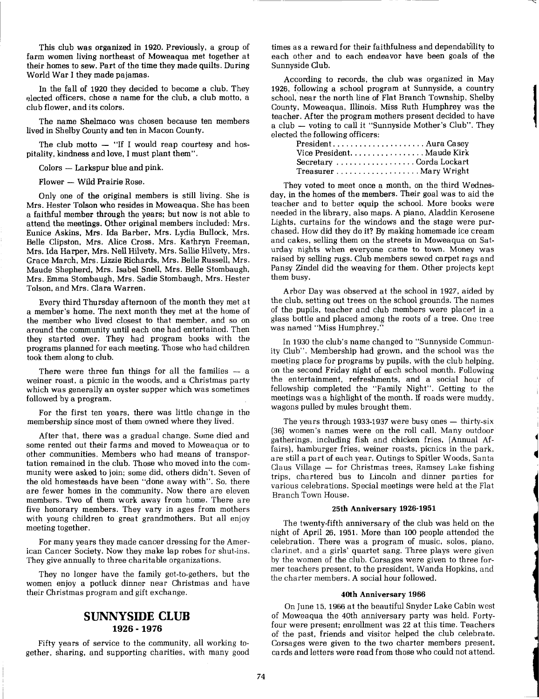This club was organized in 1920. Previously, a group of farm women living northeast of Moweaqua met together at their homes to sew. Part of the time they made quilts. During World War I they made pajamas.

In the fall of 1920 they decided to become a club. They elected officers, chose a name for the club, a club motto, a club flower, and its colors.

The name Shelmaco was chosen because ten members lived in Shelby County and ten in Macon County.

The club motto  $-$  "If I would reap courtesy and hospitality, kindness and love, I must plant them".

 $Colors - Larkspur blue and pink.$ 

Flower - Wild Prairie Rose.

Only one of the original members is still living. She is Mrs. Hester Tolson who resides in Moweaqua. She has been a faithful member through the years; but now is not able to attend the meetings. Other original members included: Mrs. Eunice Askins, Mrs. Ida Barber, Mrs. Lydia Bullock, Mrs. Belle Clipston, Mrs. Alice Cross, Mrs. Kathryn Freeman, Mrs. Ida Harper, Mrs. Nell Hilvety, Mrs. Sallie Hilvety, Mrs. Grace March, Mrs. Lizzie Richards, Mrs. Belle Russell, Mrs. Maude Shepherd, Mrs. Isabel Snell, Mrs. Belle Stombaugh, Mrs. Emma Stombaugh, Mrs. Sadie Stombaugh, Mrs. Hester Tolson, and Mrs. Clara Warren.

Every third Thursday afternoon of the month they met at a member's home. The next month they met at the home of the member who lived closest to that member, and so on around the community until each one had entertained. Then they started over. They had program books with the programs planned for each meeting. Those who had children took them along to club.

There were three fun things for all the families  $-$  a weiner roast, a picnic in the woods, and a Christmas party which was generally an oyster supper which was sometimes followed by a program.

For the first ten years, there was little change in the membership since most of them owned where they lived.

After that, there was a gradual change. Some died and some rented out their farms and moved to Moweaqua or to other communities. Members who had means of transportation remained in the club. Those who moved into the community were asked to join; some did, others didn't. Seven of the old homesteads have been "done away with". So, there are fewer homes in the community. Now there are eleven members. Two of them work away from home. There are five honorary members. They vary in ages from mothers 25th Anniversary 1926-1951 with young children to great grandmothers. But all enjoy

They no longer have the family get-to-gethers, but the the charter members. A social hour followed, women enioy a potluck dinner near Christmas and have their Christmas program and gift exchange. 40th Anniversary 1966

gether, sharing, and supporting charities, with many good

times as a reward for their faithfulness and dependab'ility to each other and to each endeavor have been goals of the Sunnyside Club.

According to records, the club was organized in May 1926, following a school program at Sunnyside, a country school, near the north line of Flat Branch Township, Shelby County, Moweaqua, Illinois. Miss Ruth Humphrey was the teacher. After the program mothers present decided to have a club - voting to call it "Sunnyside Mother's Club". They elected the following officers:

**1** 

| Vice President. Maude Kirk |  |
|----------------------------|--|
| Secretary Corda Lockart    |  |
|                            |  |

They voted to meet once a month, on the third Wednesday, in the homes of the members. Their goal was to aid the teacher and to better equip the school. More books were needed in the library, also maps. A piano, Aladdin Kerosene Lights, curtains for the windows and the stage were purchased. How did they do it? By making homemade ice cream and cakes, selling them on the streets in Moweaqua on Saturday nights when everyone came to town. Money was raised by selling rugs. Club members sewed carpet rags and Pansy Zindel did the weaving for them. Other projects kept them busy.

Arbor Day was observed at the school in 1927, aided by the club, setting out trees on the school grounds. The names of the pupils, teacher and club members were placed in a glass bottle and placed among the roots of a tree. One tree was named "Miss Humphrey."

In 1930 the club's name changed to "Sunnyside Community Club". Membership had grown, and the school was the meetjng place for programs by pupils, with the club helping, on the second Friday night of each school month. Following the entertainment, refreshments, and a social hour of fellowship completed the "Family Night". Getting to the meetings was a highlight of the month. If roads were muddy, wagons pulled by mules brought them.

The years through 1933-1937 were busy ones  $-$  thirty-six (36) women's names were on the roll call. Many outdoor gatherings, including fish and chicken fries, (Annual Affairs), hamburger fries, weiner roasts, picnics in the park, are still a part of each year. Outings to Spitler Woods, Santa Claus Village  $-$  for Christmas trees, Ramsey Lake fishing trips, chartered bus to Lincoln and dinner parties for various celebrations. Special meetings were held at the Flat Branch Town House.

with young children to great grandmothers. But all enjoy The twenty-fifth anniversary of the club was held on the meeting together.<br>For many vears they made cancer dressing for the Amer-<br>celebration. There was a program of For many years they made cancer dressing for the Amer-<br>ican Cancer Society. Now they make lap robes for shut-ins. clarinet, and a girls' quartet sang. Three plays were given clarinet, and a girls' quartet sang. Three plays were given They give annually to three charitable organizations. by the women of the club. Corsages were given to three for-<br>mer teachers present, to the president, Wanda Hopkins, and

On June 15,1966 at the beautiful Snyder Lake Cabin west **SUNNYSIDE CLUB** of Moweaqua the 40th anniversary party was held. Forty-<br> **1926 - 1976 our were present; enrollment was 22 at this time. Teachers** four were present: enrollment was 22 at this time. Teachers of the past, friends and visitor helped the club celebrate. Fifty years of service to the community, all working to-<br>her, sharing, and supporting charities, with many good cards and letters were read from those who could not attend.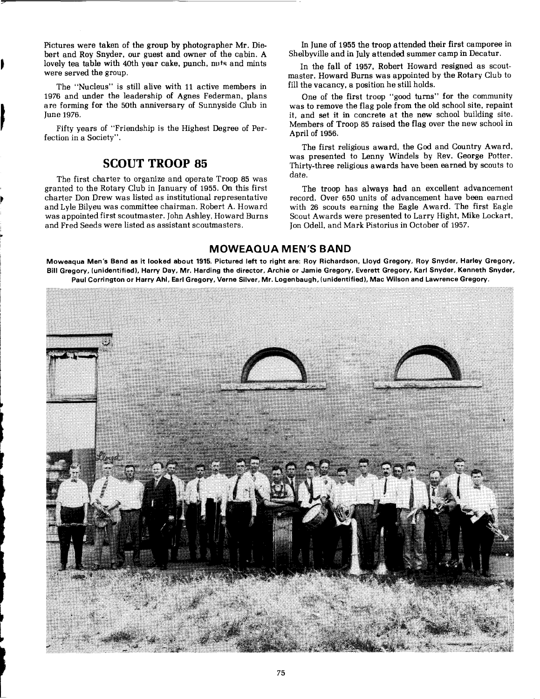Pictures were taken of the group by photographer Mr. Diebert and Roy Snyder, our guest and owner of the cabin. A lovely tea table with 40th year cake, punch, nuts and mints were served the group.

The "Nucleus" is still alive with 11 active members in 1976 and under the leadership of Agnes Federman, plans are forming for the 50th anniversary of Sunnyside Club in June 1976.

Fifty years of "Friendship is the Highest Degree of Perfection in a Society".

### **SCOUT TROOP 85**

The first charter to organize and operate Troop 85 was granted to the Rotary Club in January of 1955. **On** this first The troop has always had an excellent advancement

In June of 1955 the troop attended their first camporee in Shelbyville and in July attended summer camp in Decatur.

In the fall of 1957, Robert Howard resigned as scoutmaster. Howard Burns was appointed by the Rotary Club to fill the vacancy, a position he still holds.

One of the first troop "good turns" for the community was to remove the flag pole from the old school site, repaint it, and set it in concrete at the new school building site. Members of Troop 85 raised the flag over the new school in April of 1956.

The first religious award, the God and Country Award, was presented to Lenny Windels by Rev. George Potter. Thirty-three religious awards have been earned by scouts to

charter Don Drew was listed as institutional representative record. Over 650 units of advancement have been earned<br>and Lyle Bilyeu was committee chairman. Robert A. Howard with 26 scouts earning the Eagle Award. The first and Lyle Bilyeu was committee chairman. Robert A. Howard with 26 scouts earning the Eagle Award. The first Eagle<br>was appointed first scoutmaster. John Ashley, Howard Burns Scout Awards were presented to Larry Hight, Mike L was appointed first scoutmaster. John Ashley, Howard Burns Scout Awards were presented to Larry Hight, Mike Lockart,<br>and Fred Seeds were listed as assistant scoutmasters. [[30] Jon Odell, and Mark Pistorius in October of 1 Jon Odell, and Mark Pistorius in October of 1957.

#### **MOWEAQUA MEN'S BAND**

**Moweaqua Men's Band as it looked about 1915. Pictured left to right are: Roy Richardson, Lloyd Gregory, Roy Snyder, Harley Gregory, Bill Gregory, (unidentified), Harry Day. Mr. Harding the director, Archie or Jamie Gregory, Everett Gregory, Karl Snyder, Kenneth Snyder, Paul Corrington or Harry Ahl. Earl Gregory, Verne Silver, Mr. Logenbaugh, (unidentified), Mac Wilson and Lawrence Gregory.**